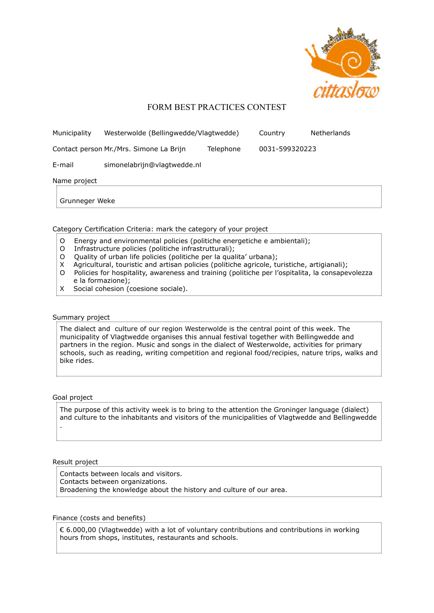

# FORM BEST PRACTICES CONTEST

| Municipality                                         | Westerwolde (Bellingwedde/Vlagtwedde) |                | Country | Netherlands |
|------------------------------------------------------|---------------------------------------|----------------|---------|-------------|
| Contact person Mr./Mrs. Simone La Brijn<br>Telephone |                                       | 0031-599320223 |         |             |
| E-mail                                               | simonelabrijn@vlagtwedde.nl           |                |         |             |
| Name project                                         |                                       |                |         |             |
| Grunneger Weke                                       |                                       |                |         |             |
|                                                      |                                       |                |         |             |

## Category Certification Criteria: mark the category of your project

- O Energy and environmental policies (politiche energetiche e ambientali);
- O Infrastructure policies (politiche infrastrutturali);
- O Quality of urban life policies (politiche per la qualita' urbana);
- X Agricultural, touristic and artisan policies (politiche agricole, turistiche, artigianali);
- O Policies for hospitality, awareness and training (politiche per l'ospitalita, la consapevolezza e la formazione);
- X Social cohesion (coesione sociale).

## Summary project

The dialect and culture of our region Westerwolde is the central point of this week. The municipality of Vlagtwedde organises this annual festival together with Bellingwedde and partners in the region. Music and songs in the dialect of Westerwolde, activities for primary schools, such as reading, writing competition and regional food/recipies, nature trips, walks and bike rides.

## Goal project

The purpose of this activity week is to bring to the attention the Groninger language (dialect) and culture to the inhabitants and visitors of the municipalities of Vlagtwedde and Bellingwedde .

#### Result project

Contacts between locals and visitors. Contacts between organizations. Broadening the knowledge about the history and culture of our area.

## Finance (costs and benefits)

€ 6.000,00 (Vlagtwedde) with a lot of voluntary contributions and contributions in working hours from shops, institutes, restaurants and schools.